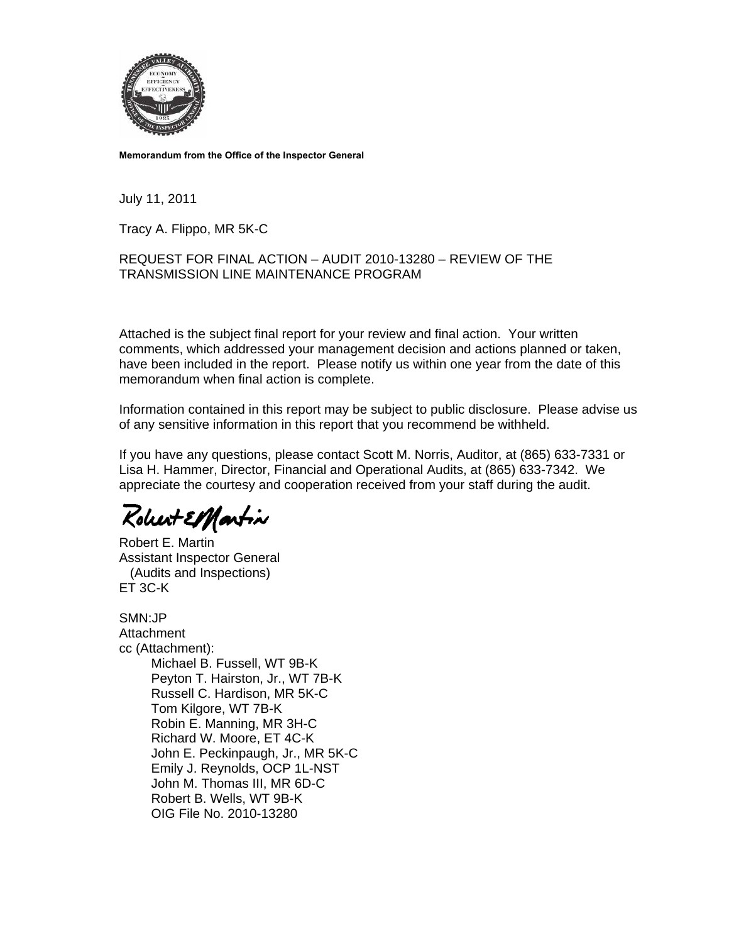

**Memorandum from the Office of the Inspector General** 

July 11, 2011

Tracy A. Flippo, MR 5K-C

### REQUEST FOR FINAL ACTION – AUDIT 2010-13280 – REVIEW OF THE TRANSMISSION LINE MAINTENANCE PROGRAM

Attached is the subject final report for your review and final action. Your written comments, which addressed your management decision and actions planned or taken, have been included in the report. Please notify us within one year from the date of this memorandum when final action is complete.

Information contained in this report may be subject to public disclosure. Please advise us of any sensitive information in this report that you recommend be withheld.

If you have any questions, please contact Scott M. Norris, Auditor, at (865) 633-7331 or Lisa H. Hammer, Director, Financial and Operational Audits, at (865) 633-7342. We appreciate the courtesy and cooperation received from your staff during the audit.

Robert ElMartin

Robert E. Martin Assistant Inspector General (Audits and Inspections) ET 3C-K

SMN:JP Attachment cc (Attachment): Michael B. Fussell, WT 9B-K Peyton T. Hairston, Jr., WT 7B-K Russell C. Hardison, MR 5K-C Tom Kilgore, WT 7B-K Robin E. Manning, MR 3H-C Richard W. Moore, ET 4C-K John E. Peckinpaugh, Jr., MR 5K-C Emily J. Reynolds, OCP 1L-NST John M. Thomas III, MR 6D-C Robert B. Wells, WT 9B-K OIG File No. 2010-13280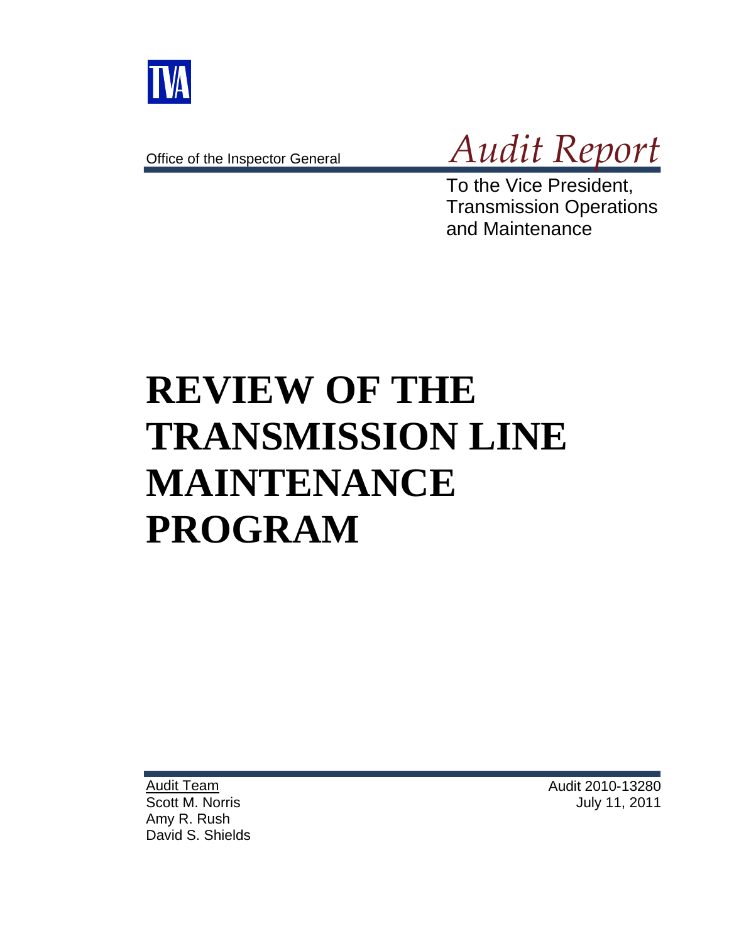

Office of the Inspector General



To the Vice President, Transmission Operations and Maintenance

# **REVIEW OF THE TRANSMISSION LINE MAINTENANCE PROGRAM**

Audit Team Scott M. Norris Amy R. Rush David S. Shields Audit 2010-13280 July 11, 2011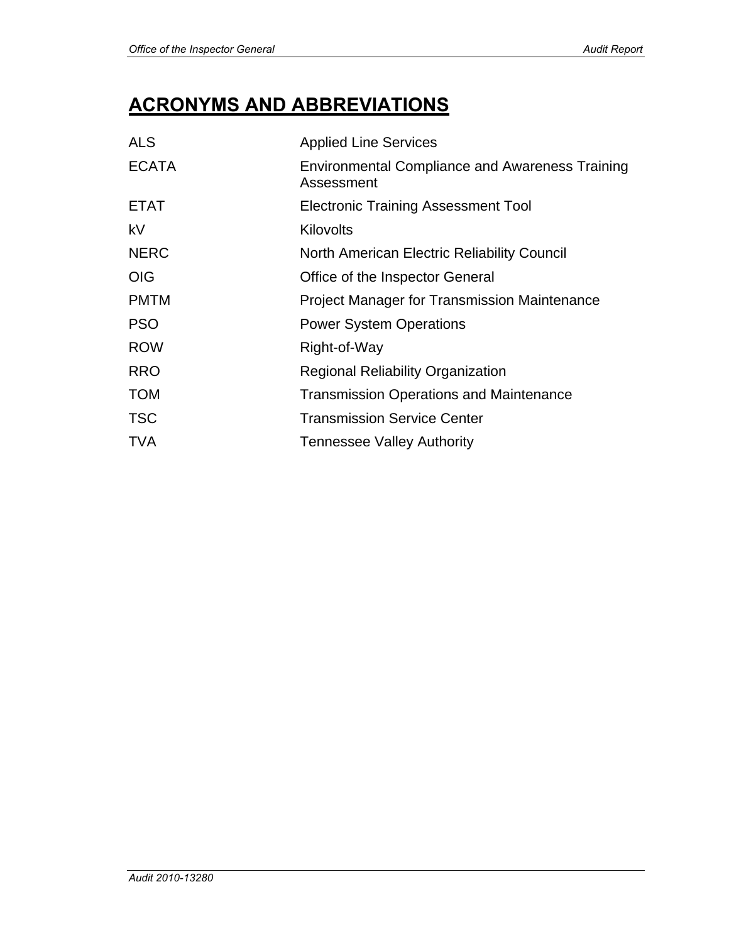# **ACRONYMS AND ABBREVIATIONS**

| <b>ALS</b>   | <b>Applied Line Services</b>                                         |
|--------------|----------------------------------------------------------------------|
| <b>ECATA</b> | <b>Environmental Compliance and Awareness Training</b><br>Assessment |
| <b>ETAT</b>  | <b>Electronic Training Assessment Tool</b>                           |
| kV           | Kilovolts                                                            |
| <b>NERC</b>  | North American Electric Reliability Council                          |
| <b>OIG</b>   | Office of the Inspector General                                      |
| <b>PMTM</b>  | <b>Project Manager for Transmission Maintenance</b>                  |
| <b>PSO</b>   | <b>Power System Operations</b>                                       |
| <b>ROW</b>   | Right-of-Way                                                         |
| <b>RRO</b>   | <b>Regional Reliability Organization</b>                             |
| <b>TOM</b>   | <b>Transmission Operations and Maintenance</b>                       |
| <b>TSC</b>   | <b>Transmission Service Center</b>                                   |
| <b>TVA</b>   | Tennessee Valley Authority                                           |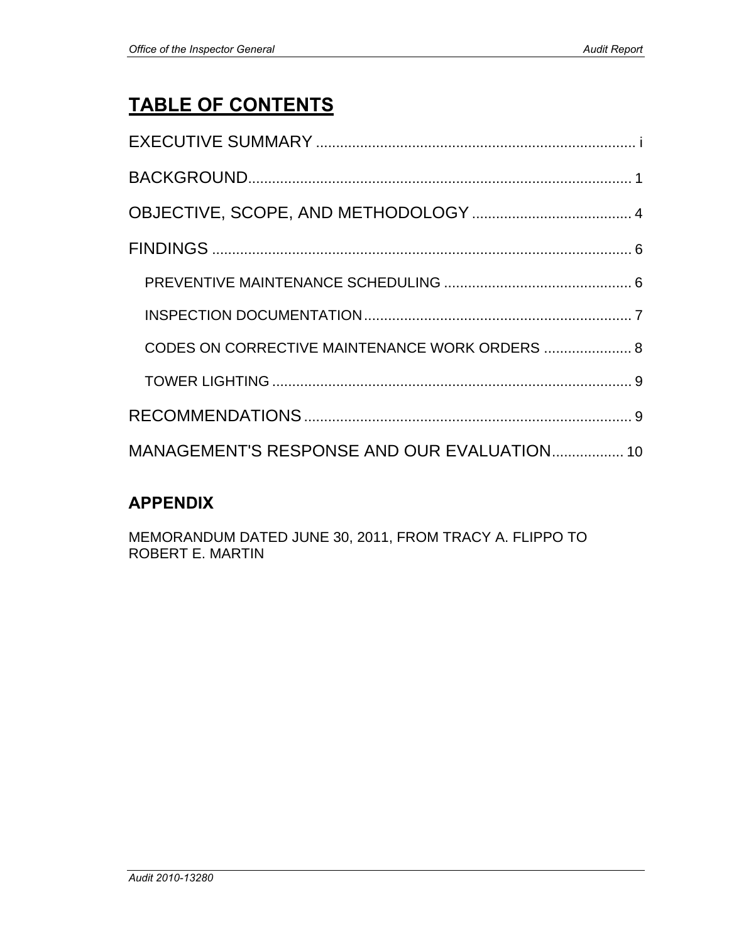# **TABLE OF CONTENTS**

| CODES ON CORRECTIVE MAINTENANCE WORK ORDERS  8 |
|------------------------------------------------|
|                                                |
|                                                |
| MANAGEMENT'S RESPONSE AND OUR EVALUATION 10    |

# **APPENDIX**

MEMORANDUM DATED JUNE 30, 2011, FROM TRACY A. FLIPPO TO ROBERT E. MARTIN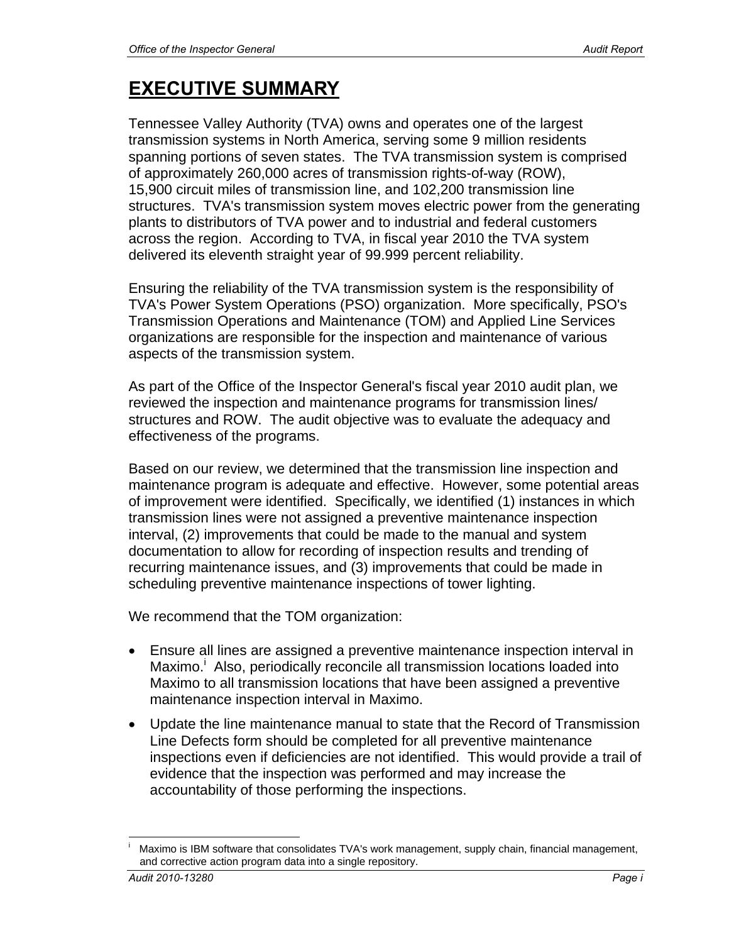# **EXECUTIVE SUMMARY**

Tennessee Valley Authority (TVA) owns and operates one of the largest transmission systems in North America, serving some 9 million residents spanning portions of seven states. The TVA transmission system is comprised of approximately 260,000 acres of transmission rights-of-way (ROW), 15,900 circuit miles of transmission line, and 102,200 transmission line structures. TVA's transmission system moves electric power from the generating plants to distributors of TVA power and to industrial and federal customers across the region. According to TVA, in fiscal year 2010 the TVA system delivered its eleventh straight year of 99.999 percent reliability.

Ensuring the reliability of the TVA transmission system is the responsibility of TVA's Power System Operations (PSO) organization. More specifically, PSO's Transmission Operations and Maintenance (TOM) and Applied Line Services organizations are responsible for the inspection and maintenance of various aspects of the transmission system.

As part of the Office of the Inspector General's fiscal year 2010 audit plan, we reviewed the inspection and maintenance programs for transmission lines/ structures and ROW. The audit objective was to evaluate the adequacy and effectiveness of the programs.

Based on our review, we determined that the transmission line inspection and maintenance program is adequate and effective. However, some potential areas of improvement were identified. Specifically, we identified (1) instances in which transmission lines were not assigned a preventive maintenance inspection interval, (2) improvements that could be made to the manual and system documentation to allow for recording of inspection results and trending of recurring maintenance issues, and (3) improvements that could be made in scheduling preventive maintenance inspections of tower lighting.

We recommend that the TOM organization:

- Ensure all lines are assigned a preventive maintenance inspection interval in Maximo.<sup>i</sup> Also, periodically reconcile all transmission locations loaded into Maximo to all transmission locations that have been assigned a preventive maintenance inspection interval in Maximo.
- Update the line maintenance manual to state that the Record of Transmission Line Defects form should be completed for all preventive maintenance inspections even if deficiencies are not identified. This would provide a trail of evidence that the inspection was performed and may increase the accountability of those performing the inspections.

 $\overline{a}$ i Maximo is IBM software that consolidates TVA's work management, supply chain, financial management, and corrective action program data into a single repository.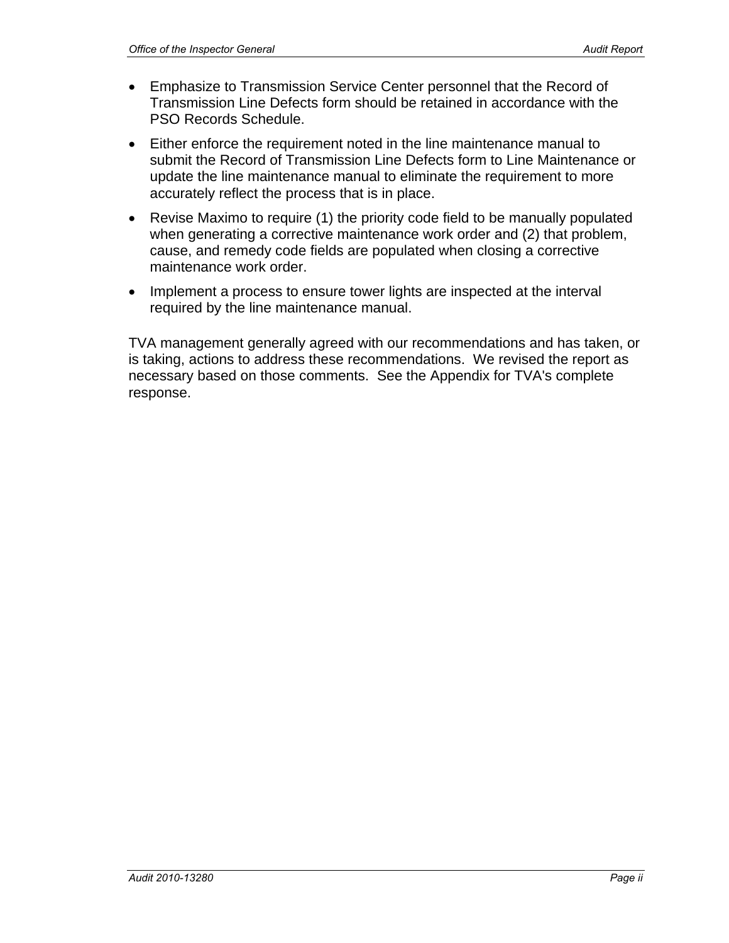- Emphasize to Transmission Service Center personnel that the Record of Transmission Line Defects form should be retained in accordance with the PSO Records Schedule.
- Either enforce the requirement noted in the line maintenance manual to submit the Record of Transmission Line Defects form to Line Maintenance or update the line maintenance manual to eliminate the requirement to more accurately reflect the process that is in place.
- Revise Maximo to require (1) the priority code field to be manually populated when generating a corrective maintenance work order and (2) that problem, cause, and remedy code fields are populated when closing a corrective maintenance work order.
- Implement a process to ensure tower lights are inspected at the interval required by the line maintenance manual.

TVA management generally agreed with our recommendations and has taken, or is taking, actions to address these recommendations. We revised the report as necessary based on those comments. See the Appendix for TVA's complete response.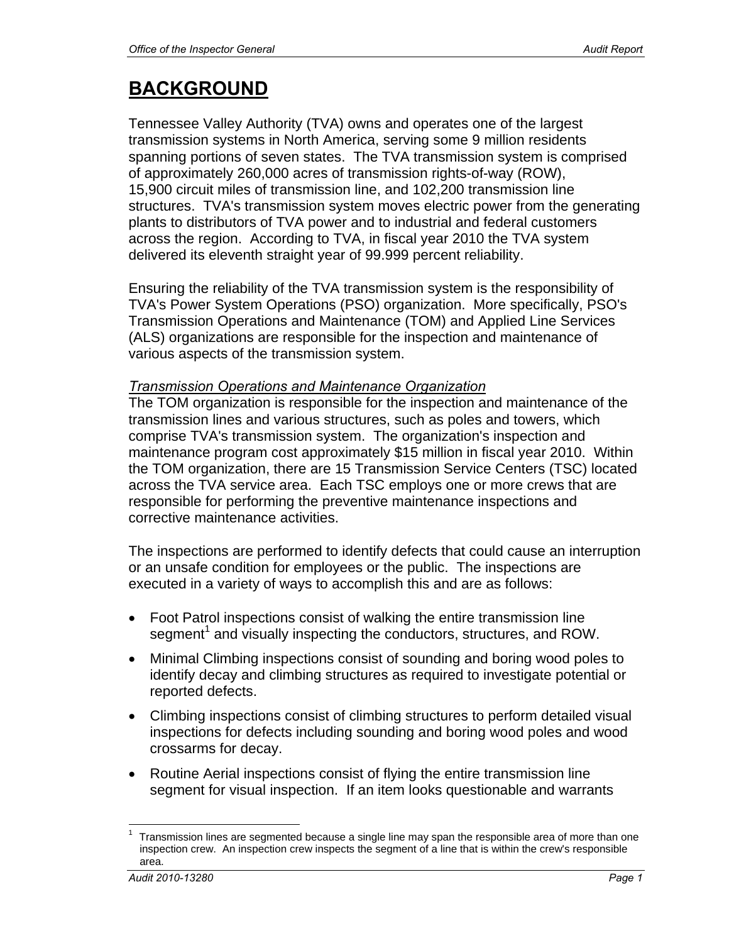# **BACKGROUND**

Tennessee Valley Authority (TVA) owns and operates one of the largest transmission systems in North America, serving some 9 million residents spanning portions of seven states. The TVA transmission system is comprised of approximately 260,000 acres of transmission rights-of-way (ROW), 15,900 circuit miles of transmission line, and 102,200 transmission line structures. TVA's transmission system moves electric power from the generating plants to distributors of TVA power and to industrial and federal customers across the region. According to TVA, in fiscal year 2010 the TVA system delivered its eleventh straight year of 99.999 percent reliability.

Ensuring the reliability of the TVA transmission system is the responsibility of TVA's Power System Operations (PSO) organization. More specifically, PSO's Transmission Operations and Maintenance (TOM) and Applied Line Services (ALS) organizations are responsible for the inspection and maintenance of various aspects of the transmission system.

### *Transmission Operations and Maintenance Organization*

The TOM organization is responsible for the inspection and maintenance of the transmission lines and various structures, such as poles and towers, which comprise TVA's transmission system. The organization's inspection and maintenance program cost approximately \$15 million in fiscal year 2010. Within the TOM organization, there are 15 Transmission Service Centers (TSC) located across the TVA service area. Each TSC employs one or more crews that are responsible for performing the preventive maintenance inspections and corrective maintenance activities.

The inspections are performed to identify defects that could cause an interruption or an unsafe condition for employees or the public. The inspections are executed in a variety of ways to accomplish this and are as follows:

- Foot Patrol inspections consist of walking the entire transmission line segment<sup>1</sup> and visually inspecting the conductors, structures, and ROW.
- Minimal Climbing inspections consist of sounding and boring wood poles to identify decay and climbing structures as required to investigate potential or reported defects.
- Climbing inspections consist of climbing structures to perform detailed visual inspections for defects including sounding and boring wood poles and wood crossarms for decay.
- Routine Aerial inspections consist of flying the entire transmission line segment for visual inspection. If an item looks questionable and warrants

 $\overline{a}$ 1 Transmission lines are segmented because a single line may span the responsible area of more than one inspection crew. An inspection crew inspects the segment of a line that is within the crew's responsible area.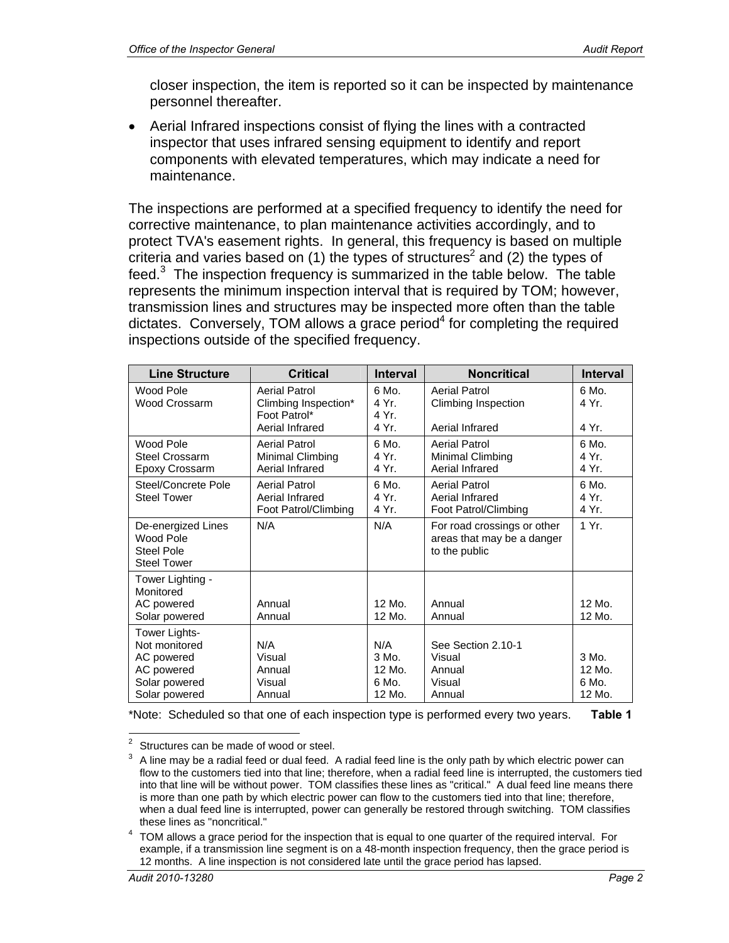closer inspection, the item is reported so it can be inspected by maintenance personnel thereafter.

 Aerial Infrared inspections consist of flying the lines with a contracted inspector that uses infrared sensing equipment to identify and report components with elevated temperatures, which may indicate a need for maintenance.

The inspections are performed at a specified frequency to identify the need for corrective maintenance, to plan maintenance activities accordingly, and to protect TVA's easement rights. In general, this frequency is based on multiple criteria and varies based on (1) the types of structures<sup>2</sup> and (2) the types of feed. $3$  The inspection frequency is summarized in the table below. The table represents the minimum inspection interval that is required by TOM; however, transmission lines and structures may be inspected more often than the table dictates. Conversely, TOM allows a grace period<sup>4</sup> for completing the required inspections outside of the specified frequency.

| <b>Line Structure</b>                                                                        | <b>Critical</b>                                                          | <b>Interval</b>                               | <b>Noncritical</b>                                                         | <b>Interval</b>                      |
|----------------------------------------------------------------------------------------------|--------------------------------------------------------------------------|-----------------------------------------------|----------------------------------------------------------------------------|--------------------------------------|
| Wood Pole<br>Wood Crossarm                                                                   | Aerial Patrol<br>Climbing Inspection*<br>Foot Patrol*<br>Aerial Infrared | 6 Mo.<br>4 Yr.<br>4 Yr.<br>4 Yr.              | Aerial Patrol<br>Climbing Inspection<br>Aerial Infrared                    | 6 Mo.<br>4 Yr.<br>4 Yr.              |
| Wood Pole<br>Steel Crossarm<br>Epoxy Crossarm                                                | Aerial Patrol<br>Minimal Climbing<br>Aerial Infrared                     | 6 Mo.<br>4 Yr.<br>4 Yr.                       | Aerial Patrol<br>Minimal Climbing<br>Aerial Infrared                       | 6 Mo.<br>4 Yr.<br>4 Yr.              |
| Steel/Concrete Pole<br><b>Steel Tower</b>                                                    | Aerial Patrol<br>Aerial Infrared<br>Foot Patrol/Climbing                 | 6 Mo.<br>4 Yr.<br>4 Yr.                       | Aerial Patrol<br>Aerial Infrared<br>Foot Patrol/Climbing                   | 6 Mo.<br>4 Yr.<br>4 Yr.              |
| De-energized Lines<br>Wood Pole<br>Steel Pole<br><b>Steel Tower</b>                          | N/A                                                                      | N/A                                           | For road crossings or other<br>areas that may be a danger<br>to the public | 1 Yr.                                |
| Tower Lighting -<br>Monitored<br>AC powered<br>Solar powered                                 | Annual<br>Annual                                                         | $12$ Mo.<br>12 Mo.                            | Annual<br>Annual                                                           | $12$ Mo.<br>12 Mo.                   |
| Tower Lights-<br>Not monitored<br>AC powered<br>AC powered<br>Solar powered<br>Solar powered | N/A<br>Visual<br>Annual<br>Visual<br>Annual                              | N/A<br>$3$ Mo.<br>$12$ Mo.<br>6 Mo.<br>12 Mo. | See Section 2.10-1<br>Visual<br>Annual<br>Visual<br>Annual                 | 3 Mo.<br>$12$ Mo.<br>6 Mo.<br>12 Mo. |

\*Note: Scheduled so that one of each inspection type is performed every two years. **Table 1**

 $\frac{1}{2}$ Structures can be made of wood or steel.

<sup>3</sup> A line may be a radial feed or dual feed. A radial feed line is the only path by which electric power can flow to the customers tied into that line; therefore, when a radial feed line is interrupted, the customers tied into that line will be without power. TOM classifies these lines as "critical." A dual feed line means there is more than one path by which electric power can flow to the customers tied into that line; therefore, when a dual feed line is interrupted, power can generally be restored through switching. TOM classifies

these lines as "noncritical."<br><sup>4</sup> TOM allows a grace period for the inspection that is equal to one quarter of the required interval. For example, if a transmission line segment is on a 48-month inspection frequency, then the grace period is 12 months. A line inspection is not considered late until the grace period has lapsed.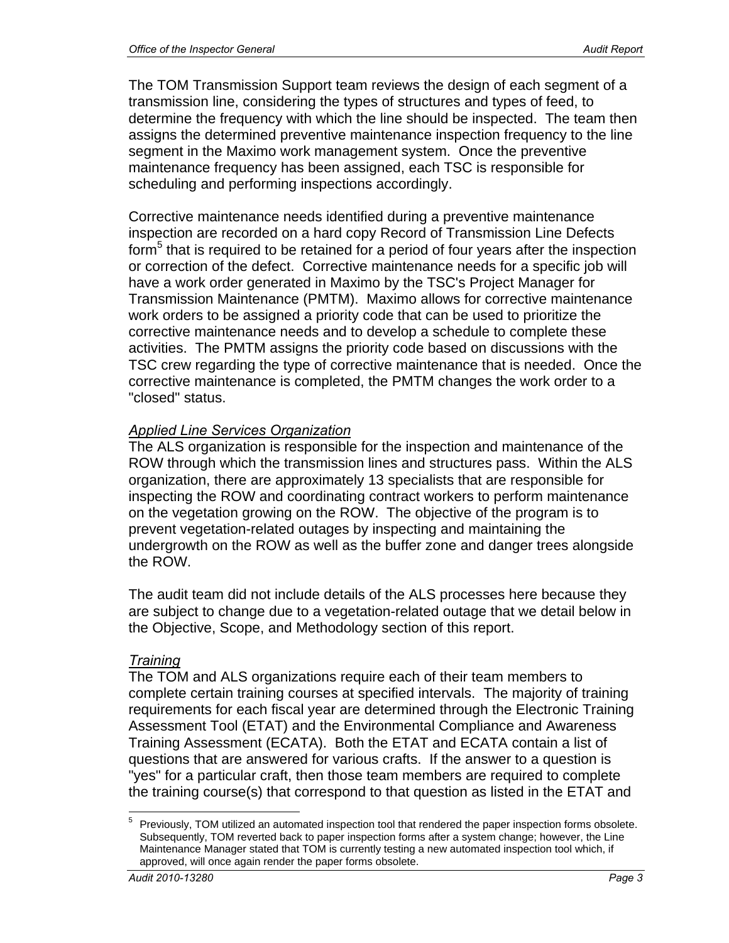The TOM Transmission Support team reviews the design of each segment of a transmission line, considering the types of structures and types of feed, to determine the frequency with which the line should be inspected. The team then assigns the determined preventive maintenance inspection frequency to the line segment in the Maximo work management system. Once the preventive maintenance frequency has been assigned, each TSC is responsible for scheduling and performing inspections accordingly.

Corrective maintenance needs identified during a preventive maintenance inspection are recorded on a hard copy Record of Transmission Line Defects form<sup>5</sup> that is required to be retained for a period of four years after the inspection or correction of the defect. Corrective maintenance needs for a specific job will have a work order generated in Maximo by the TSC's Project Manager for Transmission Maintenance (PMTM). Maximo allows for corrective maintenance work orders to be assigned a priority code that can be used to prioritize the corrective maintenance needs and to develop a schedule to complete these activities. The PMTM assigns the priority code based on discussions with the TSC crew regarding the type of corrective maintenance that is needed. Once the corrective maintenance is completed, the PMTM changes the work order to a "closed" status.

## *Applied Line Services Organization*

The ALS organization is responsible for the inspection and maintenance of the ROW through which the transmission lines and structures pass. Within the ALS organization, there are approximately 13 specialists that are responsible for inspecting the ROW and coordinating contract workers to perform maintenance on the vegetation growing on the ROW. The objective of the program is to prevent vegetation-related outages by inspecting and maintaining the undergrowth on the ROW as well as the buffer zone and danger trees alongside the ROW.

The audit team did not include details of the ALS processes here because they are subject to change due to a vegetation-related outage that we detail below in the Objective, Scope, and Methodology section of this report.

### *Training*

The TOM and ALS organizations require each of their team members to complete certain training courses at specified intervals. The majority of training requirements for each fiscal year are determined through the Electronic Training Assessment Tool (ETAT) and the Environmental Compliance and Awareness Training Assessment (ECATA). Both the ETAT and ECATA contain a list of questions that are answered for various crafts. If the answer to a question is "yes" for a particular craft, then those team members are required to complete the training course(s) that correspond to that question as listed in the ETAT and

 $\overline{a}$ 5 Previously, TOM utilized an automated inspection tool that rendered the paper inspection forms obsolete. Subsequently, TOM reverted back to paper inspection forms after a system change; however, the Line Maintenance Manager stated that TOM is currently testing a new automated inspection tool which, if approved, will once again render the paper forms obsolete.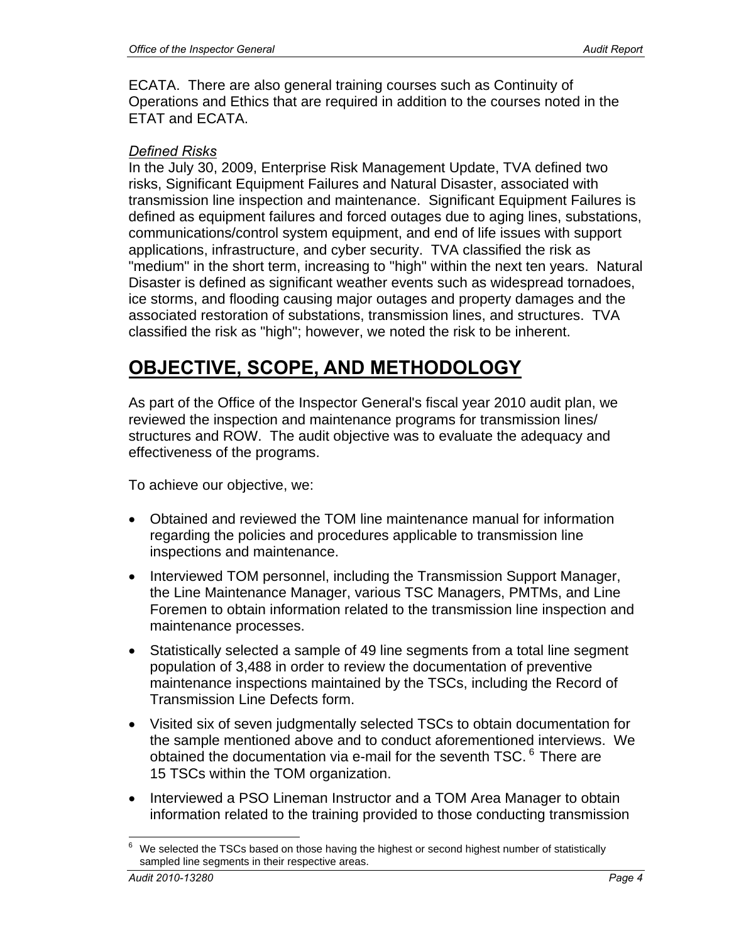ECATA. There are also general training courses such as Continuity of Operations and Ethics that are required in addition to the courses noted in the ETAT and ECATA.

### *Defined Risks*

In the July 30, 2009, Enterprise Risk Management Update, TVA defined two risks, Significant Equipment Failures and Natural Disaster, associated with transmission line inspection and maintenance. Significant Equipment Failures is defined as equipment failures and forced outages due to aging lines, substations, communications/control system equipment, and end of life issues with support applications, infrastructure, and cyber security. TVA classified the risk as "medium" in the short term, increasing to "high" within the next ten years. Natural Disaster is defined as significant weather events such as widespread tornadoes, ice storms, and flooding causing major outages and property damages and the associated restoration of substations, transmission lines, and structures. TVA classified the risk as "high"; however, we noted the risk to be inherent.

# **OBJECTIVE, SCOPE, AND METHODOLOGY**

As part of the Office of the Inspector General's fiscal year 2010 audit plan, we reviewed the inspection and maintenance programs for transmission lines/ structures and ROW. The audit objective was to evaluate the adequacy and effectiveness of the programs.

To achieve our objective, we:

- Obtained and reviewed the TOM line maintenance manual for information regarding the policies and procedures applicable to transmission line inspections and maintenance.
- Interviewed TOM personnel, including the Transmission Support Manager, the Line Maintenance Manager, various TSC Managers, PMTMs, and Line Foremen to obtain information related to the transmission line inspection and maintenance processes.
- Statistically selected a sample of 49 line segments from a total line segment population of 3,488 in order to review the documentation of preventive maintenance inspections maintained by the TSCs, including the Record of Transmission Line Defects form.
- Visited six of seven judgmentally selected TSCs to obtain documentation for the sample mentioned above and to conduct aforementioned interviews. We obtained the documentation via e-mail for the seventh TSC.<sup>6</sup> There are 15 TSCs within the TOM organization.
- Interviewed a PSO Lineman Instructor and a TOM Area Manager to obtain information related to the training provided to those conducting transmission

 $\overline{a}$ 6 We selected the TSCs based on those having the highest or second highest number of statistically sampled line segments in their respective areas.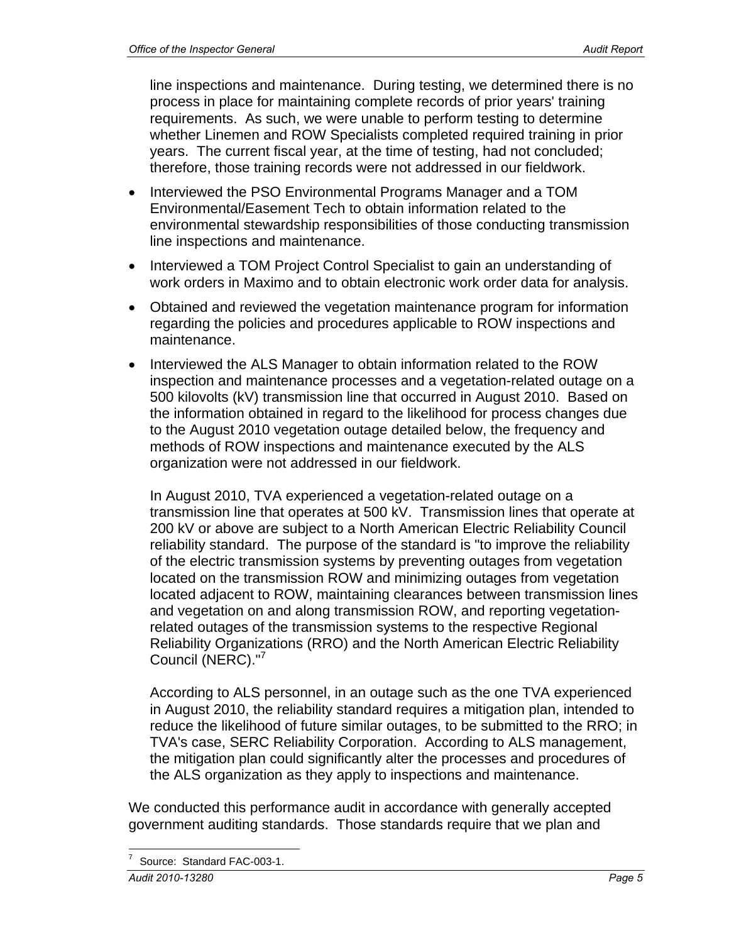line inspections and maintenance. During testing, we determined there is no process in place for maintaining complete records of prior years' training requirements. As such, we were unable to perform testing to determine whether Linemen and ROW Specialists completed required training in prior years. The current fiscal year, at the time of testing, had not concluded; therefore, those training records were not addressed in our fieldwork.

- Interviewed the PSO Environmental Programs Manager and a TOM Environmental/Easement Tech to obtain information related to the environmental stewardship responsibilities of those conducting transmission line inspections and maintenance.
- Interviewed a TOM Project Control Specialist to gain an understanding of work orders in Maximo and to obtain electronic work order data for analysis.
- Obtained and reviewed the vegetation maintenance program for information regarding the policies and procedures applicable to ROW inspections and maintenance.
- Interviewed the ALS Manager to obtain information related to the ROW inspection and maintenance processes and a vegetation-related outage on a 500 kilovolts (kV) transmission line that occurred in August 2010. Based on the information obtained in regard to the likelihood for process changes due to the August 2010 vegetation outage detailed below, the frequency and methods of ROW inspections and maintenance executed by the ALS organization were not addressed in our fieldwork.

In August 2010, TVA experienced a vegetation-related outage on a transmission line that operates at 500 kV. Transmission lines that operate at 200 kV or above are subject to a North American Electric Reliability Council reliability standard. The purpose of the standard is "to improve the reliability of the electric transmission systems by preventing outages from vegetation located on the transmission ROW and minimizing outages from vegetation located adjacent to ROW, maintaining clearances between transmission lines and vegetation on and along transmission ROW, and reporting vegetationrelated outages of the transmission systems to the respective Regional Reliability Organizations (RRO) and the North American Electric Reliability Council (NERC)."<sup>7</sup>

According to ALS personnel, in an outage such as the one TVA experienced in August 2010, the reliability standard requires a mitigation plan, intended to reduce the likelihood of future similar outages, to be submitted to the RRO; in TVA's case, SERC Reliability Corporation. According to ALS management, the mitigation plan could significantly alter the processes and procedures of the ALS organization as they apply to inspections and maintenance.

We conducted this performance audit in accordance with generally accepted government auditing standards. Those standards require that we plan and

 $\overline{a}$ 7 Source: Standard FAC-003-1.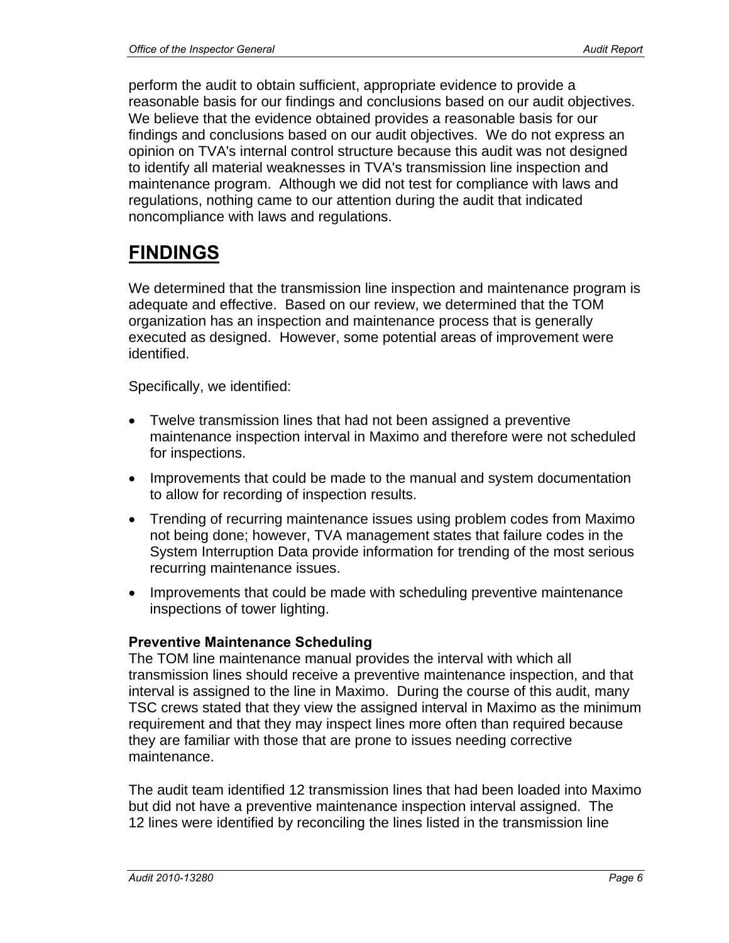perform the audit to obtain sufficient, appropriate evidence to provide a reasonable basis for our findings and conclusions based on our audit objectives. We believe that the evidence obtained provides a reasonable basis for our findings and conclusions based on our audit objectives. We do not express an opinion on TVA's internal control structure because this audit was not designed to identify all material weaknesses in TVA's transmission line inspection and maintenance program. Although we did not test for compliance with laws and regulations, nothing came to our attention during the audit that indicated noncompliance with laws and regulations.

# **FINDINGS**

We determined that the transmission line inspection and maintenance program is adequate and effective. Based on our review, we determined that the TOM organization has an inspection and maintenance process that is generally executed as designed. However, some potential areas of improvement were identified.

Specifically, we identified:

- Twelve transmission lines that had not been assigned a preventive maintenance inspection interval in Maximo and therefore were not scheduled for inspections.
- Improvements that could be made to the manual and system documentation to allow for recording of inspection results.
- Trending of recurring maintenance issues using problem codes from Maximo not being done; however, TVA management states that failure codes in the System Interruption Data provide information for trending of the most serious recurring maintenance issues.
- Improvements that could be made with scheduling preventive maintenance inspections of tower lighting.

### **Preventive Maintenance Scheduling**

The TOM line maintenance manual provides the interval with which all transmission lines should receive a preventive maintenance inspection, and that interval is assigned to the line in Maximo. During the course of this audit, many TSC crews stated that they view the assigned interval in Maximo as the minimum requirement and that they may inspect lines more often than required because they are familiar with those that are prone to issues needing corrective maintenance.

The audit team identified 12 transmission lines that had been loaded into Maximo but did not have a preventive maintenance inspection interval assigned. The 12 lines were identified by reconciling the lines listed in the transmission line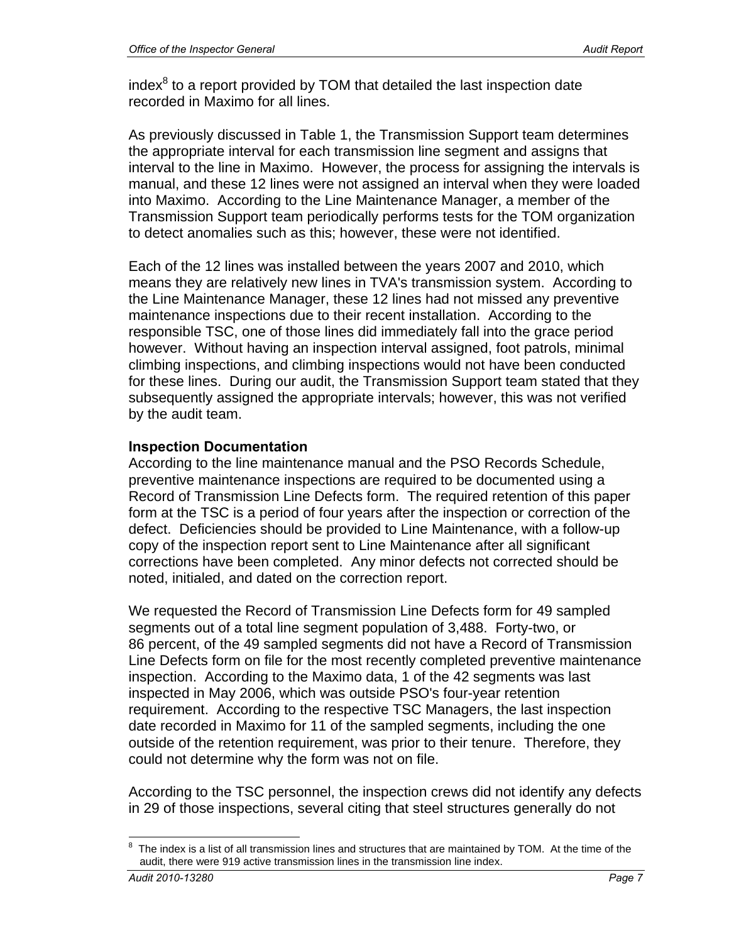index $8$  to a report provided by TOM that detailed the last inspection date recorded in Maximo for all lines.

As previously discussed in Table 1, the Transmission Support team determines the appropriate interval for each transmission line segment and assigns that interval to the line in Maximo. However, the process for assigning the intervals is manual, and these 12 lines were not assigned an interval when they were loaded into Maximo. According to the Line Maintenance Manager, a member of the Transmission Support team periodically performs tests for the TOM organization to detect anomalies such as this; however, these were not identified.

Each of the 12 lines was installed between the years 2007 and 2010, which means they are relatively new lines in TVA's transmission system. According to the Line Maintenance Manager, these 12 lines had not missed any preventive maintenance inspections due to their recent installation. According to the responsible TSC, one of those lines did immediately fall into the grace period however. Without having an inspection interval assigned, foot patrols, minimal climbing inspections, and climbing inspections would not have been conducted for these lines. During our audit, the Transmission Support team stated that they subsequently assigned the appropriate intervals; however, this was not verified by the audit team.

### **Inspection Documentation**

According to the line maintenance manual and the PSO Records Schedule, preventive maintenance inspections are required to be documented using a Record of Transmission Line Defects form. The required retention of this paper form at the TSC is a period of four years after the inspection or correction of the defect. Deficiencies should be provided to Line Maintenance, with a follow-up copy of the inspection report sent to Line Maintenance after all significant corrections have been completed. Any minor defects not corrected should be noted, initialed, and dated on the correction report.

We requested the Record of Transmission Line Defects form for 49 sampled segments out of a total line segment population of 3,488. Forty-two, or 86 percent, of the 49 sampled segments did not have a Record of Transmission Line Defects form on file for the most recently completed preventive maintenance inspection. According to the Maximo data, 1 of the 42 segments was last inspected in May 2006, which was outside PSO's four-year retention requirement. According to the respective TSC Managers, the last inspection date recorded in Maximo for 11 of the sampled segments, including the one outside of the retention requirement, was prior to their tenure. Therefore, they could not determine why the form was not on file.

According to the TSC personnel, the inspection crews did not identify any defects in 29 of those inspections, several citing that steel structures generally do not

 $\overline{a}$ 

<sup>8</sup> The index is a list of all transmission lines and structures that are maintained by TOM. At the time of the audit, there were 919 active transmission lines in the transmission line index.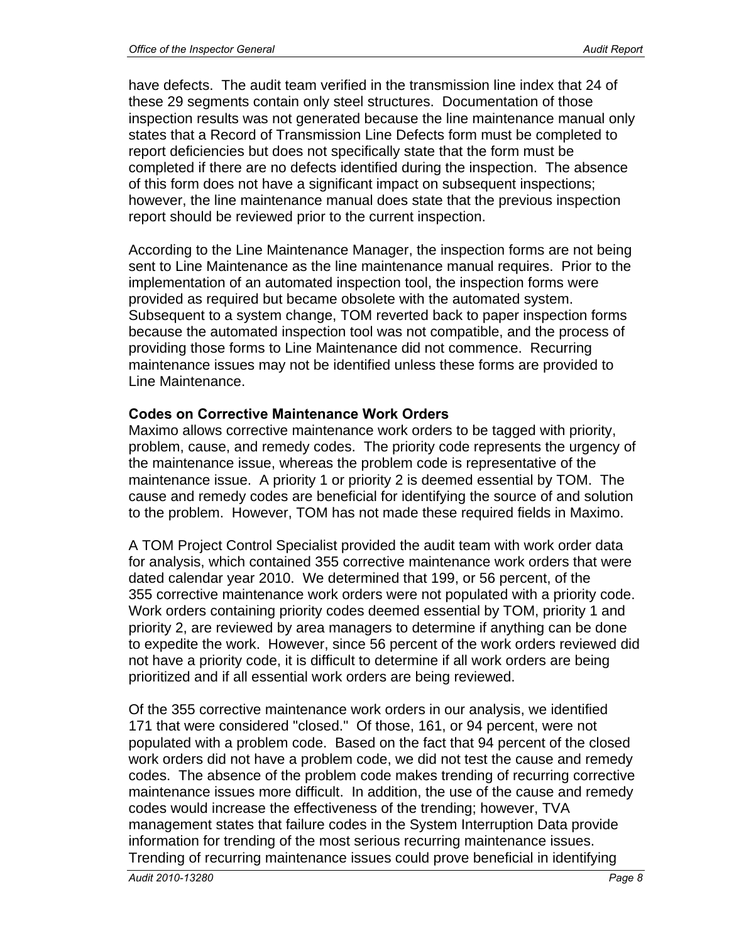have defects. The audit team verified in the transmission line index that 24 of these 29 segments contain only steel structures. Documentation of those inspection results was not generated because the line maintenance manual only states that a Record of Transmission Line Defects form must be completed to report deficiencies but does not specifically state that the form must be completed if there are no defects identified during the inspection. The absence of this form does not have a significant impact on subsequent inspections; however, the line maintenance manual does state that the previous inspection report should be reviewed prior to the current inspection.

According to the Line Maintenance Manager, the inspection forms are not being sent to Line Maintenance as the line maintenance manual requires. Prior to the implementation of an automated inspection tool, the inspection forms were provided as required but became obsolete with the automated system. Subsequent to a system change, TOM reverted back to paper inspection forms because the automated inspection tool was not compatible, and the process of providing those forms to Line Maintenance did not commence. Recurring maintenance issues may not be identified unless these forms are provided to Line Maintenance.

### **Codes on Corrective Maintenance Work Orders**

Maximo allows corrective maintenance work orders to be tagged with priority, problem, cause, and remedy codes. The priority code represents the urgency of the maintenance issue, whereas the problem code is representative of the maintenance issue. A priority 1 or priority 2 is deemed essential by TOM. The cause and remedy codes are beneficial for identifying the source of and solution to the problem. However, TOM has not made these required fields in Maximo.

A TOM Project Control Specialist provided the audit team with work order data for analysis, which contained 355 corrective maintenance work orders that were dated calendar year 2010. We determined that 199, or 56 percent, of the 355 corrective maintenance work orders were not populated with a priority code. Work orders containing priority codes deemed essential by TOM, priority 1 and priority 2, are reviewed by area managers to determine if anything can be done to expedite the work. However, since 56 percent of the work orders reviewed did not have a priority code, it is difficult to determine if all work orders are being prioritized and if all essential work orders are being reviewed.

Of the 355 corrective maintenance work orders in our analysis, we identified 171 that were considered "closed." Of those, 161, or 94 percent, were not populated with a problem code. Based on the fact that 94 percent of the closed work orders did not have a problem code, we did not test the cause and remedy codes. The absence of the problem code makes trending of recurring corrective maintenance issues more difficult. In addition, the use of the cause and remedy codes would increase the effectiveness of the trending; however, TVA management states that failure codes in the System Interruption Data provide information for trending of the most serious recurring maintenance issues. Trending of recurring maintenance issues could prove beneficial in identifying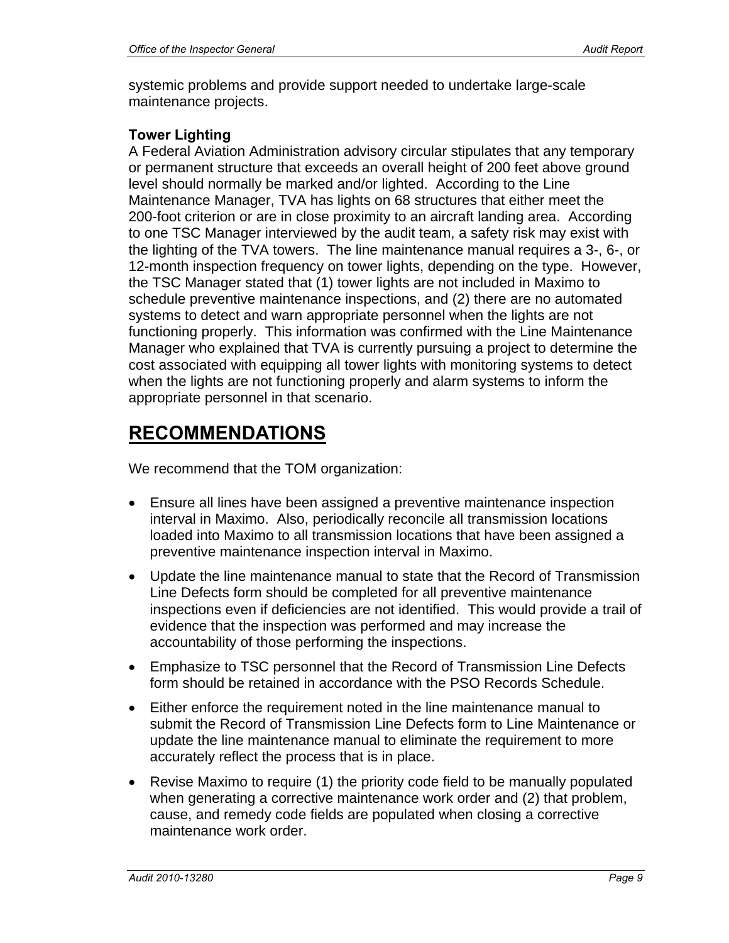systemic problems and provide support needed to undertake large-scale maintenance projects.

# **Tower Lighting**

A Federal Aviation Administration advisory circular stipulates that any temporary or permanent structure that exceeds an overall height of 200 feet above ground level should normally be marked and/or lighted. According to the Line Maintenance Manager, TVA has lights on 68 structures that either meet the 200-foot criterion or are in close proximity to an aircraft landing area. According to one TSC Manager interviewed by the audit team, a safety risk may exist with the lighting of the TVA towers. The line maintenance manual requires a 3-, 6-, or 12-month inspection frequency on tower lights, depending on the type. However, the TSC Manager stated that (1) tower lights are not included in Maximo to schedule preventive maintenance inspections, and (2) there are no automated systems to detect and warn appropriate personnel when the lights are not functioning properly. This information was confirmed with the Line Maintenance Manager who explained that TVA is currently pursuing a project to determine the cost associated with equipping all tower lights with monitoring systems to detect when the lights are not functioning properly and alarm systems to inform the appropriate personnel in that scenario.

# **RECOMMENDATIONS**

We recommend that the TOM organization:

- Ensure all lines have been assigned a preventive maintenance inspection interval in Maximo. Also, periodically reconcile all transmission locations loaded into Maximo to all transmission locations that have been assigned a preventive maintenance inspection interval in Maximo.
- Update the line maintenance manual to state that the Record of Transmission Line Defects form should be completed for all preventive maintenance inspections even if deficiencies are not identified. This would provide a trail of evidence that the inspection was performed and may increase the accountability of those performing the inspections.
- Emphasize to TSC personnel that the Record of Transmission Line Defects form should be retained in accordance with the PSO Records Schedule.
- Either enforce the requirement noted in the line maintenance manual to submit the Record of Transmission Line Defects form to Line Maintenance or update the line maintenance manual to eliminate the requirement to more accurately reflect the process that is in place.
- Revise Maximo to require (1) the priority code field to be manually populated when generating a corrective maintenance work order and (2) that problem, cause, and remedy code fields are populated when closing a corrective maintenance work order.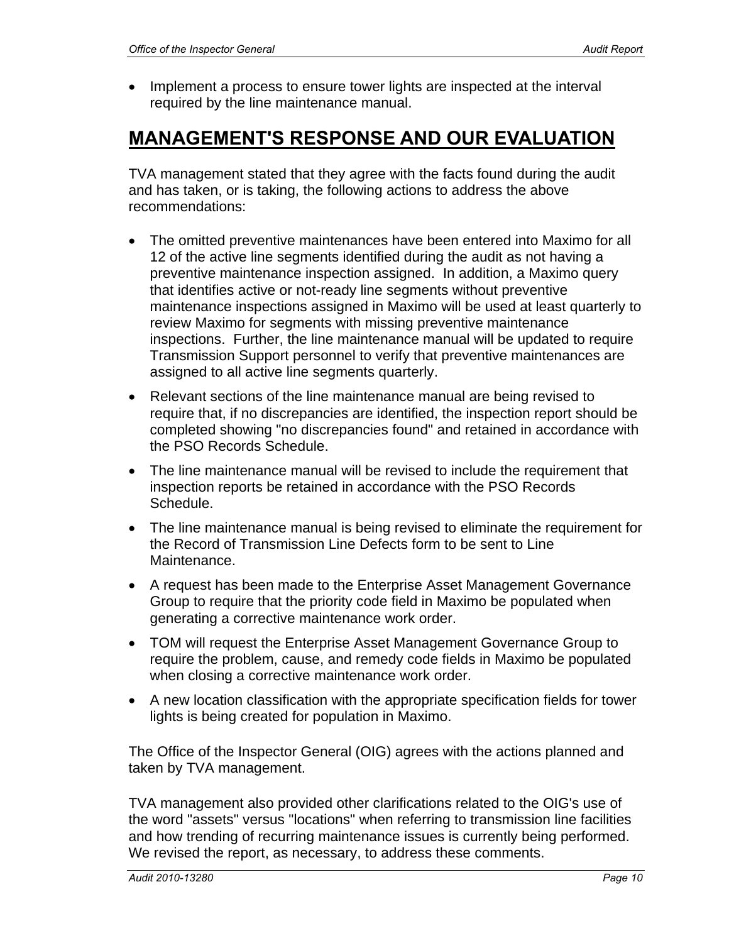• Implement a process to ensure tower lights are inspected at the interval required by the line maintenance manual.

# **MANAGEMENT'S RESPONSE AND OUR EVALUATION**

TVA management stated that they agree with the facts found during the audit and has taken, or is taking, the following actions to address the above recommendations:

- The omitted preventive maintenances have been entered into Maximo for all 12 of the active line segments identified during the audit as not having a preventive maintenance inspection assigned. In addition, a Maximo query that identifies active or not-ready line segments without preventive maintenance inspections assigned in Maximo will be used at least quarterly to review Maximo for segments with missing preventive maintenance inspections. Further, the line maintenance manual will be updated to require Transmission Support personnel to verify that preventive maintenances are assigned to all active line segments quarterly.
- Relevant sections of the line maintenance manual are being revised to require that, if no discrepancies are identified, the inspection report should be completed showing "no discrepancies found" and retained in accordance with the PSO Records Schedule.
- The line maintenance manual will be revised to include the requirement that inspection reports be retained in accordance with the PSO Records Schedule.
- The line maintenance manual is being revised to eliminate the requirement for the Record of Transmission Line Defects form to be sent to Line Maintenance.
- A request has been made to the Enterprise Asset Management Governance Group to require that the priority code field in Maximo be populated when generating a corrective maintenance work order.
- TOM will request the Enterprise Asset Management Governance Group to require the problem, cause, and remedy code fields in Maximo be populated when closing a corrective maintenance work order.
- A new location classification with the appropriate specification fields for tower lights is being created for population in Maximo.

The Office of the Inspector General (OIG) agrees with the actions planned and taken by TVA management.

TVA management also provided other clarifications related to the OIG's use of the word "assets" versus "locations" when referring to transmission line facilities and how trending of recurring maintenance issues is currently being performed. We revised the report, as necessary, to address these comments.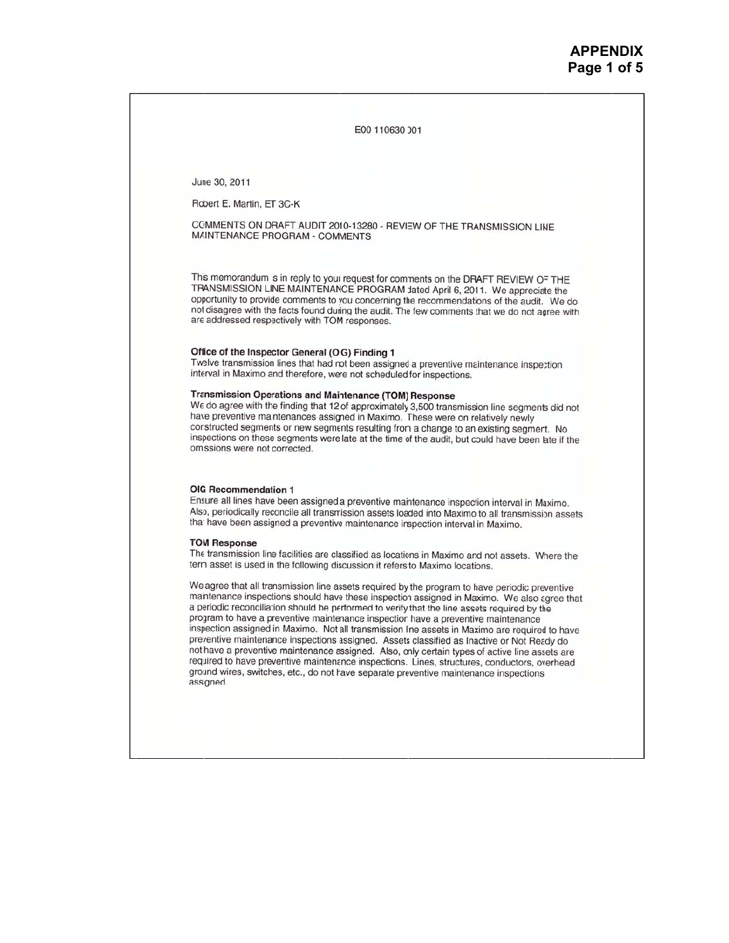E00 110630 001

June 30, 2011

Robert E. Martin, ET 3C-K

COMMENTS ON DRAFT AUDIT 2010-13280 - REVIEW OF THE TRANSMISSION LINE MAINTENANCE PROGRAM - COMMENTS

This memorandum s in reply to your request for comments on the DRAFT REVIEW OF THE TRANSMISSION LINE MAINTENANCE PROGRAM dated April 6, 2011. We appreciate the opportunity to provide comments to you concerning the recommendations of the audit. We do not disagree with the facts found during the audit. The few comments that we do not agree with are addressed respectively with TOM responses.

#### Office of the Inspector General (OIG) Finding 1

Twelve transmission lines that had not been assigned a preventive maintenance inspection interval in Maximo and therefore, were not scheduled for inspections.

#### Transmission Operations and Maintenance (TOM) Response

We do agree with the finding that 12 of approximately 3,500 transmission line segments did not have preventive mantenances assigned in Maximo. These were on relatively newly constructed segments or new segments resulting from a change to an existing segment. No inspections on these segments were late at the time of the audit, but could have been late if the omissions were not corrected.

#### OIG Recommendation 1

Ensure all lines have been assigned a preventive maintenance inspection interval in Maximo. Also, periodically reconcile all transmission assets loaded into Maximo to all transmission assets that have been assigned a preventive maintenance inspection interval in Maximo.

#### **TOM Response**

The transmission line facilities are classified as locations in Maximo and not assets. Where the term asset is used in the following discussion it refers to Maximo locations.

We agree that all transmission line assets required by the program to have periodic preventive maintenance inspections should have these inspection assigned in Maximo. We also agree that a periodic reconciliation should be performed to verify that the line assets required by the program to have a preventive maintenance inspection have a preventive maintenance inspection assigned in Maximo. Not all transmission Ine assets in Maximo are required to have preventive maintenance inspections assigned. Assets classified as Inactive or Not Ready do not have a preventive maintenance assigned. Also, only certain types of active line assets are required to have preventive maintenance inspections. Lines, structures, conductors, overhead ground wires, switches, etc., do not have separate preventive maintenance inspections assigned.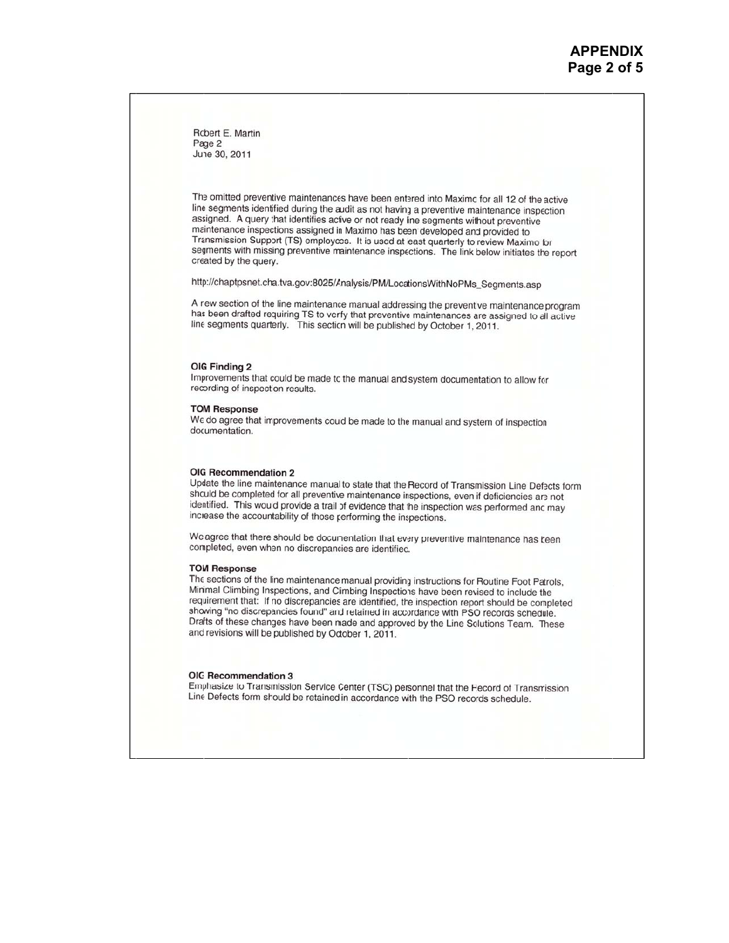Robert E. Martin Page 2 June 30, 2011

The omitted preventive maintenances have been entered into Maximc for all 12 of the active line segments identified during the audit as not having a preventive maintenance inspection assigned. A query hat identifies active or not ready line segments without preventive maintenance inspections assigned in Maximo has been developed and provided to Transmission Support (TS) employees. It is used at least quarterly to review Maximo for segments with missing preventive maintenance inspections. The link below initiates the report created by the query.

http://chaptpsnet.cha.tva.gov:8025/Analysis/PM/LocationsWithNoPMs\_Segments.asp

A rew section of the line maintenance manual addressing the preventve maintenance program has been drafted requiring TS to verify that preventive maintenances are assigned to all active line segments quarterly. This section will be published by October 1, 2011.

#### OIG Finding 2

Improvements that could be made to the manual and system documentation to allow for recording of inspecton results.

#### **TOM Response**

We do agree that improvements could be made to the manual and system of inspection documentation.

#### OIG Recommendation 2

Update the line maintenance manual to state that the Record of Transmission Line Defects form should be completed for all preventive maintenance inspections, even if deficiencies are not identified. This woud provide a trail of evidence that the inspection was performed and may increase the accountability of those performing the inspections.

We agree that there should be documentation that every preventive maintenance has been completed, even when no discrepancies are identified.

#### **TOM Response**

The sections of the line maintenance manual providing instructions for Routine Foot Patrols, Minimal Climbing Inspections, and Climbing Inspections have been revised to include the requirement that: If no discrepancies are identified, the inspection report should be completed showing "no discrepancies found" and retained in accordance with PSO records schedule. Draits of these changes have been made and approved by the Line Solutions Team. These and revisions will be published by October 1, 2011.

#### OIG Recommendation 3

Emphasize to Transmission Service Center (TSC) personnel that the Fecord of Transmission Line Defects form should be retained in accordance with the PSO records schedule.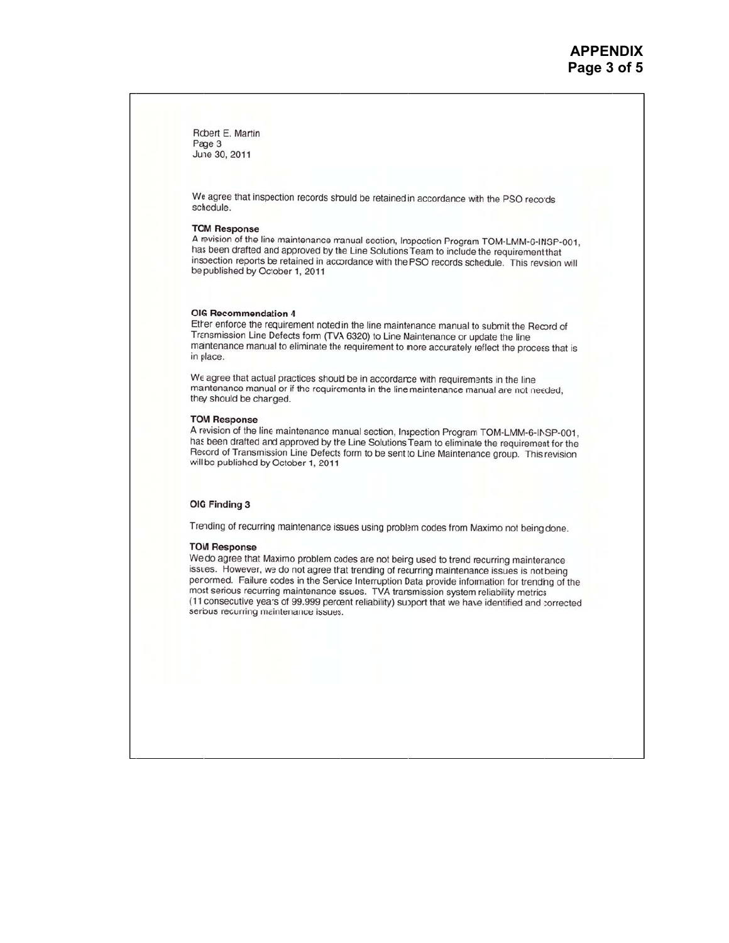Robert E. Martin Page 3 June 30, 2011

We agree that inspection records should be retained in accordance with the PSO records schedule.

#### **TOM Response**

A revision of the line maintenance manual section, Inspection Program TOM-LMM-6-INSP-001, has been drafted and approved by the Line Solutions Team to include the requirement that inspection reports be retained in accordance with the PSO records schedule. This revision will be published by Ocober 1, 2011

#### OIG Recommendation 4

Ether enforce the requirement noted in the line maintenance manual to submit the Record of Transmission Line Defects form (TVA 6320) to Line Maintenance or update the line maintenance manual to eliminate the requirement to more accurately reflect the process that is in place.

We agree that actual practices should be in accordance with requirements in the line maintenance manual or if the requirements in the line maintenance manual are not needed, they should be charged.

#### **TOM Response**

A revision of the line maintenance manual section, Inspection Program TOM-LMM-6-INSP-001, has been drafted and approved by the Line Solutions Team to eliminate the requirement for the Record of Transmission Line Defects form to be sent to Line Maintenance group. This revision will be published by October 1, 2011.

#### OIG Finding 3

Trending of recurring maintenance issues using problem codes from Maximo not being done.

#### **TOM Response**

We do agree that Maximo problem codes are not being used to trend recurring maintenance issues. However, we do not agree that trending of recurring maintenance issues is not being perlormed. Failure codes in the Service Interruption Data provide information for trending of the most serious recurring maintenance issues. TVA transmission system reliability metrics (11 consecutive years of 99.999 percent reliability) support that we have identified and corrected serious recurring maintenance issues.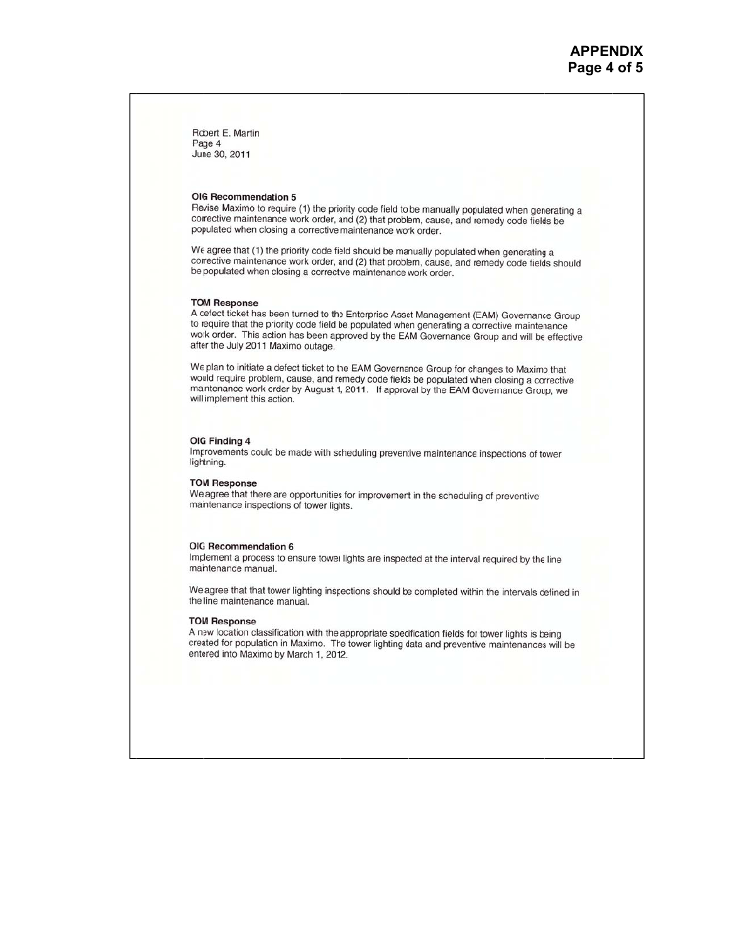Robert E. Martin Page 4 June 30, 2011

#### OIG Recommendation 5

Revise Maximo to require (1) the priority code field to be manually populated when generating a corrective maintenance work order, and (2) that problem, cause, and remedy code fields be populated when closing a corrective maintenance work order.

We agree that (1) the priority code field should be manually populated when generating a corrective maintenance work order, and (2) that problem, cause, and remedy code fields should be populated when closing a corrective maintenance work order.

#### **TOM Response**

A defect ticket has been turned to the Enterprise Asset Management (EAM) Governance Group to require that the piority code field be populated when generating a corrective maintenance work order. This adion has been approved by the EAM Governance Group and will be effective after the July 2011 Maximo outage.

We plan to initiate a defect ticket to the EAM Governance Group for changes to Maximo that would require problem, cause, and remedy code fields be populated when closing a corrective maintenance work crder by August 1, 2011. If approval by the EAM Governance Group, we will implement this action.

#### OIG Finding 4

Improvements coulc be made with scheduling preventive maintenance inspections of tower lightning.

#### **TOM Response**

We agree that there are opportunities for improvement in the scheduling of preventive maintenance inspections of tower lights.

#### OIG Recommendation 6

Implement a process to ensure tower lights are inspected at the interval required by the line maintenance manual.

We agree that that tower lighting inspections should be completed within the intervals defined in the line maintenance manual.

#### **TOM Response**

A new location classification with the appropriate specification fields for tower lights is being created for population in Maximo. The tower lighting data and preventive maintenances will be entered into Maximo by March 1, 2012.